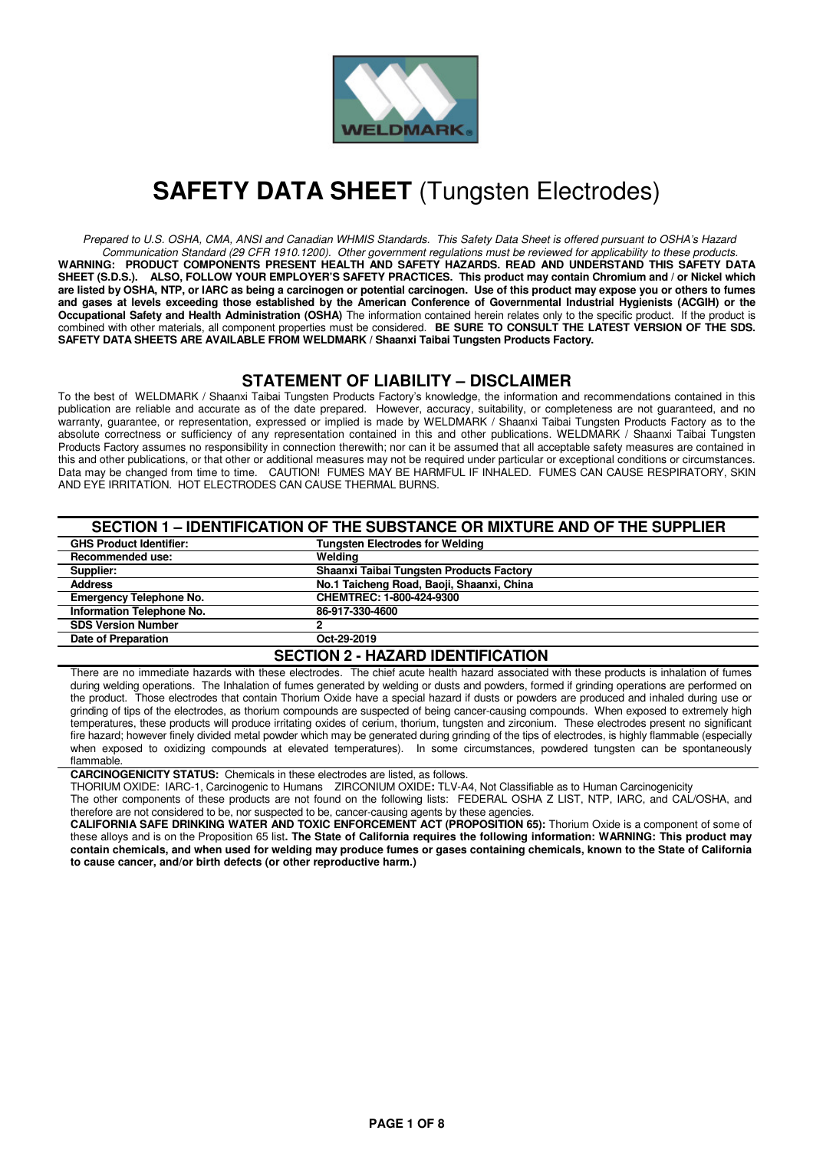

# **SAFETY DATA SHEET** (Tungsten Electrodes)

Prepared to U.S. OSHA, CMA, ANSI and Canadian WHMIS Standards. This Safety Data Sheet is offered pursuant to OSHA's Hazard Communication Standard (29 CFR 1910.1200). Other government regulations must be reviewed for applicability to these products. **WARNING: PRODUCT COMPONENTS PRESENT HEALTH AND SAFETY HAZARDS. READ AND UNDERSTAND THIS SAFETY DATA SHEET (S.D.S.). ALSO, FOLLOW YOUR EMPLOYER'S SAFETY PRACTICES. This product may contain Chromium and / or Nickel which are listed by OSHA, NTP, or IARC as being a carcinogen or potential carcinogen. Use of this product may expose you or others to fumes and gases at levels exceeding those established by the American Conference of Governmental Industrial Hygienists (ACGIH) or the Occupational Safety and Health Administration (OSHA)** The information contained herein relates only to the specific product. If the product is combined with other materials, all component properties must be considered. **BE SURE TO CONSULT THE LATEST VERSION OF THE SDS. SAFETY DATA SHEETS ARE AVAILABLE FROM WELDMARK / Shaanxi Taibai Tungsten Products Factory.**

# **STATEMENT OF LIABILITY – DISCLAIMER**

To the best of WELDMARK / Shaanxi Taibai Tungsten Products Factory's knowledge, the information and recommendations contained in this publication are reliable and accurate as of the date prepared. However, accuracy, suitability, or completeness are not guaranteed, and no warranty, guarantee, or representation, expressed or implied is made by WELDMARK / Shaanxi Taibai Tungsten Products Factory as to the absolute correctness or sufficiency of any representation contained in this and other publications. WELDMARK / Shaanxi Taibai Tungsten Products Factory assumes no responsibility in connection therewith; nor can it be assumed that all acceptable safety measures are contained in this and other publications, or that other or additional measures may not be required under particular or exceptional conditions or circumstances. Data may be changed from time to time. CAUTION! FUMES MAY BE HARMFUL IF INHALED. FUMES CAN CAUSE RESPIRATORY, SKIN AND EYE IRRITATION. HOT ELECTRODES CAN CAUSE THERMAL BURNS.

| SECTION 1 - IDENTIFICATION OF THE SUBSTANCE OR MIXTURE AND OF THE SUPPLIER |                                           |  |  |
|----------------------------------------------------------------------------|-------------------------------------------|--|--|
| <b>GHS Product Identifier:</b>                                             | <b>Tungsten Electrodes for Welding</b>    |  |  |
| <b>Recommended use:</b>                                                    | Weldina                                   |  |  |
| Supplier:                                                                  | Shaanxi Taibai Tungsten Products Factory  |  |  |
| <b>Address</b>                                                             | No.1 Taicheng Road, Baoji, Shaanxi, China |  |  |
| <b>Emergency Telephone No.</b>                                             | CHEMTREC: 1-800-424-9300                  |  |  |
| <b>Information Telephone No.</b>                                           | 86-917-330-4600                           |  |  |
| <b>SDS Version Number</b>                                                  |                                           |  |  |
| Date of Preparation                                                        | Oct-29-2019                               |  |  |
| OFATIAN A HIAZARR IRENTIFIAATIAN                                           |                                           |  |  |

#### **SECTION 2 - HAZARD IDENTIFICATION**

There are no immediate hazards with these electrodes. The chief acute health hazard associated with these products is inhalation of fumes during welding operations. The Inhalation of fumes generated by welding or dusts and powders, formed if grinding operations are performed on the product. Those electrodes that contain Thorium Oxide have a special hazard if dusts or powders are produced and inhaled during use or grinding of tips of the electrodes, as thorium compounds are suspected of being cancer-causing compounds. When exposed to extremely high temperatures, these products will produce irritating oxides of cerium, thorium, tungsten and zirconium. These electrodes present no significant fire hazard; however finely divided metal powder which may be generated during grinding of the tips of electrodes, is highly flammable (especially when exposed to oxidizing compounds at elevated temperatures). In some circumstances, powdered tungsten can be spontaneously flammable.

**CARCINOGENICITY STATUS:** Chemicals in these electrodes are listed, as follows.

THORIUM OXIDE: IARC-1, Carcinogenic to Humans ZIRCONIUM OXIDE**:** TLV-A4, Not Classifiable as to Human Carcinogenicity The other components of these products are not found on the following lists: FEDERAL OSHA Z LIST, NTP, IARC, and CAL/OSHA, and

therefore are not considered to be, nor suspected to be, cancer-causing agents by these agencies.

**CALIFORNIA SAFE DRINKING WATER AND TOXIC ENFORCEMENT ACT (PROPOSITION 65):** Thorium Oxide is a component of some of these alloys and is on the Proposition 65 list**. The State of California requires the following information: WARNING: This product may contain chemicals, and when used for welding may produce fumes or gases containing chemicals, known to the State of California to cause cancer, and/or birth defects (or other reproductive harm.)**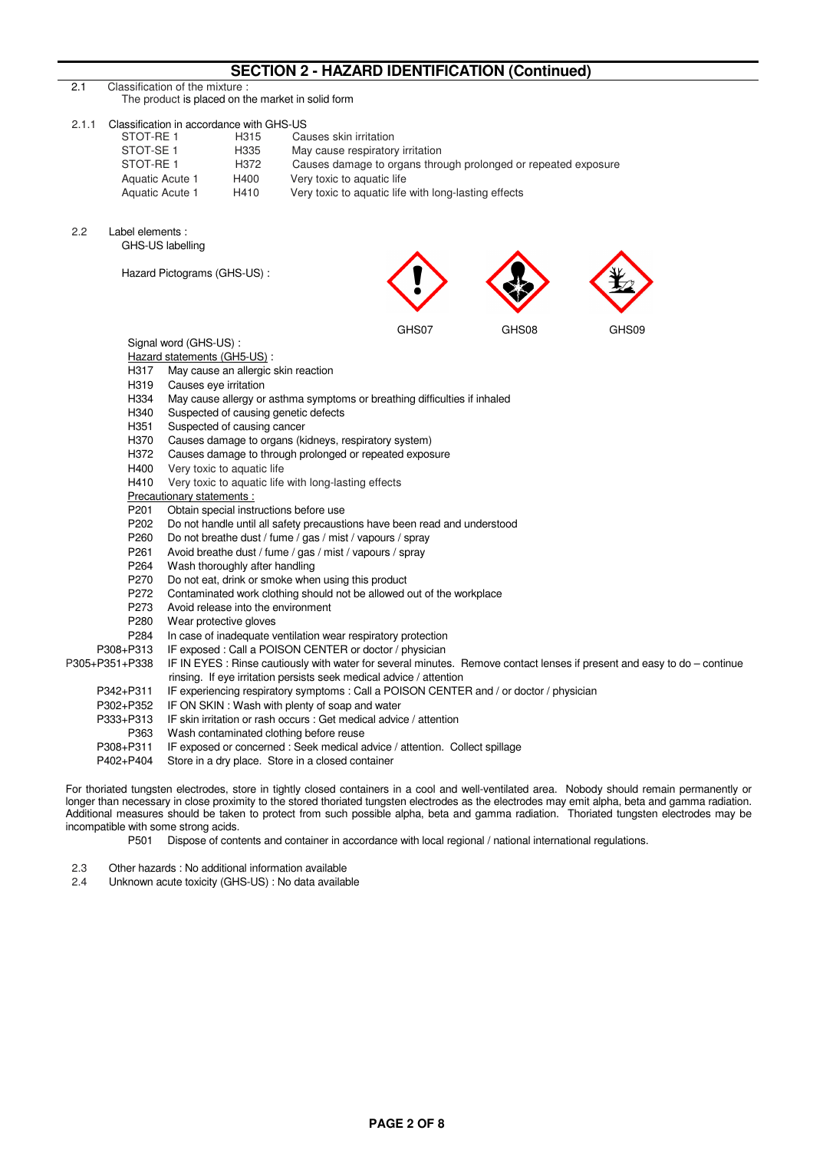# **SECTION 2 - HAZARD IDENTIFICATION (Continued)**

| 2.1   |                                                                                                                                                                                                                    | Classification of the mixture:                                                     |                                      |                                                      | <u>JLVIIVIVE - IIMANID IDLIVIII IVATIVIVIVOIIIIIIUEU</u>                                                                                                   |       |       |  |
|-------|--------------------------------------------------------------------------------------------------------------------------------------------------------------------------------------------------------------------|------------------------------------------------------------------------------------|--------------------------------------|------------------------------------------------------|------------------------------------------------------------------------------------------------------------------------------------------------------------|-------|-------|--|
|       |                                                                                                                                                                                                                    | The product is placed on the market in solid form                                  |                                      |                                                      |                                                                                                                                                            |       |       |  |
| 2.1.1 | STOT-RE 1<br>STOT-SE <sub>1</sub><br>STOT-RE1                                                                                                                                                                      | Classification in accordance with GHS-US<br>Aquatic Acute 1<br>Aquatic Acute 1     | H315<br>H335<br>H372<br>H400<br>H410 | Causes skin irritation<br>Very toxic to aquatic life | May cause respiratory irritation<br>Causes damage to organs through prolonged or repeated exposure<br>Very toxic to aquatic life with long-lasting effects |       |       |  |
| 2.2   | Label elements :<br>GHS-US labelling                                                                                                                                                                               |                                                                                    |                                      |                                                      |                                                                                                                                                            |       |       |  |
|       |                                                                                                                                                                                                                    | Hazard Pictograms (GHS-US):                                                        |                                      |                                                      |                                                                                                                                                            |       |       |  |
|       |                                                                                                                                                                                                                    |                                                                                    |                                      |                                                      | GHS07                                                                                                                                                      | GHS08 | GHS09 |  |
|       |                                                                                                                                                                                                                    | Signal word (GHS-US):                                                              |                                      |                                                      |                                                                                                                                                            |       |       |  |
|       |                                                                                                                                                                                                                    | Hazard statements (GH5-US) :                                                       |                                      |                                                      |                                                                                                                                                            |       |       |  |
|       | H317                                                                                                                                                                                                               | May cause an allergic skin reaction                                                |                                      |                                                      |                                                                                                                                                            |       |       |  |
|       | H319                                                                                                                                                                                                               | Causes eye irritation                                                              |                                      |                                                      |                                                                                                                                                            |       |       |  |
|       | H334                                                                                                                                                                                                               |                                                                                    |                                      |                                                      | May cause allergy or asthma symptoms or breathing difficulties if inhaled                                                                                  |       |       |  |
|       | H340                                                                                                                                                                                                               |                                                                                    |                                      | Suspected of causing genetic defects                 |                                                                                                                                                            |       |       |  |
|       | H351                                                                                                                                                                                                               | Suspected of causing cancer                                                        |                                      |                                                      |                                                                                                                                                            |       |       |  |
|       | H370<br>H372                                                                                                                                                                                                       | Causes damage to organs (kidneys, respiratory system)                              |                                      |                                                      |                                                                                                                                                            |       |       |  |
|       | H400                                                                                                                                                                                                               | Causes damage to through prolonged or repeated exposure                            |                                      |                                                      |                                                                                                                                                            |       |       |  |
|       | H410                                                                                                                                                                                                               | Very toxic to aquatic life<br>Very toxic to aquatic life with long-lasting effects |                                      |                                                      |                                                                                                                                                            |       |       |  |
|       | Precautionary statements :                                                                                                                                                                                         |                                                                                    |                                      |                                                      |                                                                                                                                                            |       |       |  |
|       | P201                                                                                                                                                                                                               |                                                                                    |                                      | Obtain special instructions before use               |                                                                                                                                                            |       |       |  |
|       | P202                                                                                                                                                                                                               | Do not handle until all safety precaustions have been read and understood          |                                      |                                                      |                                                                                                                                                            |       |       |  |
|       | P <sub>260</sub>                                                                                                                                                                                                   | Do not breathe dust / fume / gas / mist / vapours / spray                          |                                      |                                                      |                                                                                                                                                            |       |       |  |
|       | P261                                                                                                                                                                                                               | Avoid breathe dust / fume / gas / mist / vapours / spray                           |                                      |                                                      |                                                                                                                                                            |       |       |  |
|       | P264                                                                                                                                                                                                               | Wash thoroughly after handling                                                     |                                      |                                                      |                                                                                                                                                            |       |       |  |
|       | P270                                                                                                                                                                                                               | Do not eat, drink or smoke when using this product                                 |                                      |                                                      |                                                                                                                                                            |       |       |  |
|       | P272                                                                                                                                                                                                               |                                                                                    |                                      |                                                      | Contaminated work clothing should not be allowed out of the workplace                                                                                      |       |       |  |
|       | P273                                                                                                                                                                                                               | Avoid release into the environment                                                 |                                      |                                                      |                                                                                                                                                            |       |       |  |
|       | P280                                                                                                                                                                                                               | Wear protective gloves                                                             |                                      |                                                      |                                                                                                                                                            |       |       |  |
|       | P284                                                                                                                                                                                                               |                                                                                    |                                      |                                                      | In case of inadequate ventilation wear respiratory protection                                                                                              |       |       |  |
|       | P308+P313<br>IF exposed : Call a POISON CENTER or doctor / physician<br>P305+P351+P338<br>IF IN EYES : Rinse cautiously with water for several minutes. Remove contact lenses if present and easy to do - continue |                                                                                    |                                      |                                                      |                                                                                                                                                            |       |       |  |
|       |                                                                                                                                                                                                                    |                                                                                    |                                      |                                                      | rinsing. If eye irritation persists seek medical advice / attention                                                                                        |       |       |  |
|       | P342+P311                                                                                                                                                                                                          |                                                                                    |                                      |                                                      | IF experiencing respiratory symptoms : Call a POISON CENTER and / or doctor / physician                                                                    |       |       |  |
|       | P302+P352                                                                                                                                                                                                          |                                                                                    |                                      | IF ON SKIN: Wash with plenty of soap and water       |                                                                                                                                                            |       |       |  |
|       | P333+P313                                                                                                                                                                                                          |                                                                                    |                                      |                                                      | IF skin irritation or rash occurs : Get medical advice / attention                                                                                         |       |       |  |
|       | P363                                                                                                                                                                                                               |                                                                                    |                                      | Wash contaminated clothing before reuse              |                                                                                                                                                            |       |       |  |
|       | P308+P311                                                                                                                                                                                                          |                                                                                    |                                      |                                                      | IF exposed or concerned : Seek medical advice / attention. Collect spillage                                                                                |       |       |  |
|       | P402+P404<br>Store in a dry place. Store in a closed container                                                                                                                                                     |                                                                                    |                                      |                                                      |                                                                                                                                                            |       |       |  |
|       |                                                                                                                                                                                                                    |                                                                                    |                                      |                                                      | For thoriated tungsten electrodes, store in tightly closed containers in a cool and well-ventilated area. Nobody should remain permanently or              |       |       |  |

longer than necessary in close proximity to the stored thoriated tungsten electrodes as the electrodes may emit alpha, beta and gamma radiation. Additional measures should be taken to protect from such possible alpha, beta and gamma radiation. Thoriated tungsten electrodes may be incompatible with some strong acids.

P501 Dispose of contents and container in accordance with local regional / national international regulations.

- 2.3 Other hazards : No additional information available<br>2.4 Unknown acute toxicity (GHS-US) : No data available
- Unknown acute toxicity (GHS-US) : No data available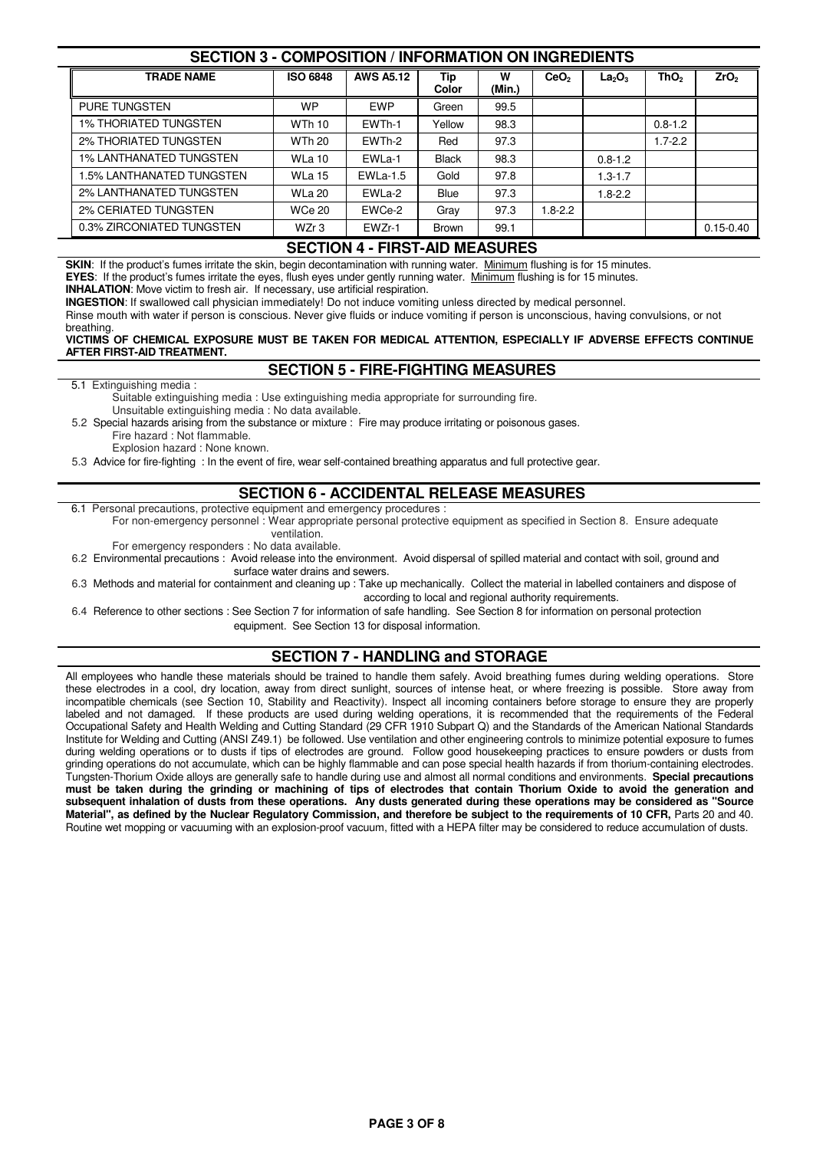## **SECTION 3 - COMPOSITION / INFORMATION ON INGREDIENTS**

| <b>TRADE NAME</b>              | <b>ISO 6848</b>  | <b>AWS A5.12</b> | Tip<br>Color | w<br>(Min.) | CeO <sub>2</sub> | La <sub>2</sub> O <sub>3</sub> | ThO <sub>2</sub> | ZrO <sub>2</sub> |
|--------------------------------|------------------|------------------|--------------|-------------|------------------|--------------------------------|------------------|------------------|
| <b>PURE TUNGSTEN</b>           | <b>WP</b>        | <b>EWP</b>       | Green        | 99.5        |                  |                                |                  |                  |
| <b>1% THORIATED TUNGSTEN</b>   | <b>WTh 10</b>    | EWTh-1           | Yellow       | 98.3        |                  |                                | $0.8 - 1.2$      |                  |
| 2% THORIATED TUNGSTEN          | <b>WTh 20</b>    | EWTh-2           | Red          | 97.3        |                  |                                | $1.7 - 2.2$      |                  |
| <b>1% LANTHANATED TUNGSTEN</b> | <b>WLa 10</b>    | EWLa-1           | <b>Black</b> | 98.3        |                  | $0.8 - 1.2$                    |                  |                  |
| I.5% LANTHANATED TUNGSTEN      | <b>WLa 15</b>    | $EWLa-1.5$       | Gold         | 97.8        |                  | $1.3 - 1.7$                    |                  |                  |
| 2% LANTHANATED TUNGSTEN        | <b>WLa 20</b>    | EWLa-2           | <b>Blue</b>  | 97.3        |                  | $1.8 - 2.2$                    |                  |                  |
| <b>2% CERIATED TUNGSTEN</b>    | <b>WCe 20</b>    | EWCe-2           | Gray         | 97.3        | $1.8 - 2.2$      |                                |                  |                  |
| 0.3% ZIRCONIATED TUNGSTEN      | WZr <sub>3</sub> | EWZr-1           | <b>Brown</b> | 99.1        |                  |                                |                  | $0.15 - 0.40$    |

### **SECTION 4 - FIRST-AID MEASURES**

**SKIN:** If the product's fumes irritate the skin, begin decontamination with running water. Minimum flushing is for 15 minutes.

**EYES**: If the product's fumes irritate the eyes, flush eyes under gently running water. Minimum flushing is for 15 minutes.

**INHALATION**: Move victim to fresh air. If necessary, use artificial respiration.

**INGESTION**: If swallowed call physician immediately! Do not induce vomiting unless directed by medical personnel.

Rinse mouth with water if person is conscious. Never give fluids or induce vomiting if person is unconscious, having convulsions, or not breathing.

#### **VICTIMS OF CHEMICAL EXPOSURE MUST BE TAKEN FOR MEDICAL ATTENTION, ESPECIALLY IF ADVERSE EFFECTS CONTINUE AFTER FIRST-AID TREATMENT.**

#### **SECTION 5 - FIRE-FIGHTING MEASURES**

5.1 Extinguishing media :

 Suitable extinguishing media : Use extinguishing media appropriate for surrounding fire. Unsuitable extinguishing media : No data available.

 5.2 Special hazards arising from the substance or mixture : Fire may produce irritating or poisonous gases. Fire hazard : Not flammable.

Explosion hazard : None known.

5.3 Advice for fire-fighting : In the event of fire, wear self-contained breathing apparatus and full protective gear.

## **SECTION 6 - ACCIDENTAL RELEASE MEASURES**

6.1 Personal precautions, protective equipment and emergency procedures :

 For non-emergency personnel : Wear appropriate personal protective equipment as specified in Section 8. Ensure adequate ventilation.

For emergency responders : No data available.

 6.2 Environmental precautions : Avoid release into the environment. Avoid dispersal of spilled material and contact with soil, ground and surface water drains and sewers.

 6.3 Methods and material for containment and cleaning up : Take up mechanically. Collect the material in labelled containers and dispose of according to local and regional authority requirements.

 6.4 Reference to other sections : See Section 7 for information of safe handling. See Section 8 for information on personal protection equipment. See Section 13 for disposal information.

## **SECTION 7 - HANDLING and STORAGE**

All employees who handle these materials should be trained to handle them safely. Avoid breathing fumes during welding operations. Store these electrodes in a cool, dry location, away from direct sunlight, sources of intense heat, or where freezing is possible. Store away from incompatible chemicals (see Section 10, Stability and Reactivity). Inspect all incoming containers before storage to ensure they are properly labeled and not damaged. If these products are used during welding operations, it is recommended that the requirements of the Federal Occupational Safety and Health Welding and Cutting Standard (29 CFR 1910 Subpart Q) and the Standards of the American National Standards Institute for Welding and Cutting (ANSI Z49.1) be followed. Use ventilation and other engineering controls to minimize potential exposure to fumes during welding operations or to dusts if tips of electrodes are ground. Follow good housekeeping practices to ensure powders or dusts from grinding operations do not accumulate, which can be highly flammable and can pose special health hazards if from thorium-containing electrodes. Tungsten-Thorium Oxide alloys are generally safe to handle during use and almost all normal conditions and environments. **Special precautions must be taken during the grinding or machining of tips of electrodes that contain Thorium Oxide to avoid the generation and subsequent inhalation of dusts from these operations. Any dusts generated during these operations may be considered as "Source**  Material", as defined by the Nuclear Regulatory Commission, and therefore be subject to the requirements of 10 CFR, Parts 20 and 40. Routine wet mopping or vacuuming with an explosion-proof vacuum, fitted with a HEPA filter may be considered to reduce accumulation of dusts.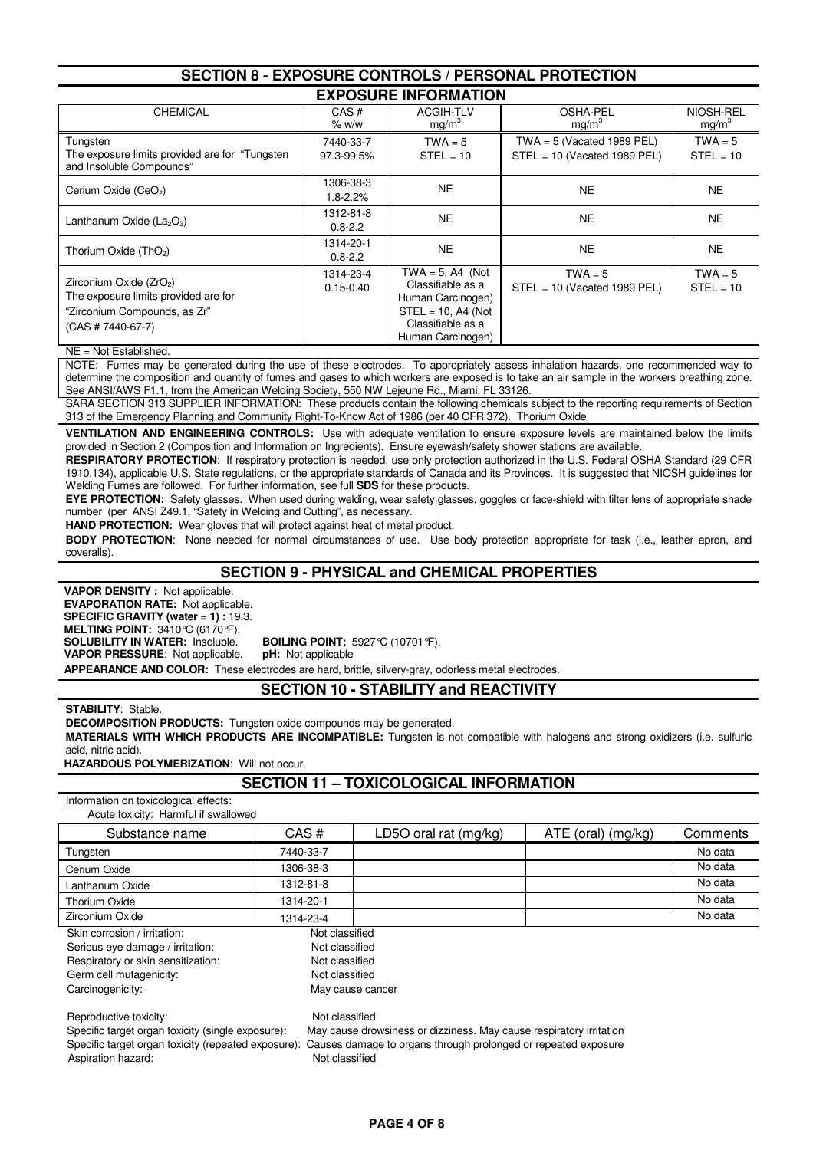| ULVIIVII V<br>LAI OUUIL UUNINULU / I LIUUNAL I IU ILU IIUN                                                            |                             |                                                                                                                                  |                                                                |                                |  |  |  |
|-----------------------------------------------------------------------------------------------------------------------|-----------------------------|----------------------------------------------------------------------------------------------------------------------------------|----------------------------------------------------------------|--------------------------------|--|--|--|
|                                                                                                                       | <b>EXPOSURE INFORMATION</b> |                                                                                                                                  |                                                                |                                |  |  |  |
| <b>CHEMICAL</b>                                                                                                       | CAS#<br>% w/w               | <b>ACGIH-TLV</b><br>mg/m <sup>3</sup>                                                                                            | <b>OSHA-PEL</b><br>mg/m <sup>3</sup>                           | NIOSH-REL<br>mg/m <sup>3</sup> |  |  |  |
| Tungsten<br>The exposure limits provided are for "Tungsten"<br>and Insoluble Compounds"                               | 7440-33-7<br>97.3-99.5%     | $TWA = 5$<br>$STEL = 10$                                                                                                         | TWA = $5$ (Vacated 1989 PEL)<br>$STEL = 10$ (Vacated 1989 PEL) | $TWA = 5$<br>$STEL = 10$       |  |  |  |
| Cerium Oxide (CeO <sub>2</sub> )                                                                                      | 1306-38-3<br>$1.8 - 2.2%$   | <b>NE</b>                                                                                                                        | <b>NE</b>                                                      | NE.                            |  |  |  |
| Lanthanum Oxide (La <sub>2</sub> O <sub>3</sub> )                                                                     | 1312-81-8<br>$0.8 - 2.2$    | <b>NE</b>                                                                                                                        | NE.                                                            | NE.                            |  |  |  |
| Thorium Oxide (ThO <sub>2</sub> )                                                                                     | 1314-20-1<br>$0.8 - 2.2$    | <b>NE</b>                                                                                                                        | <b>NE</b>                                                      | <b>NE</b>                      |  |  |  |
| Zirconium Oxide (ZrO2)<br>The exposure limits provided are for<br>"Zirconium Compounds, as Zr"<br>$(CAS # 7440-67-7)$ | 1314-23-4<br>$0.15 - 0.40$  | $TWA = 5$ , A4 (Not<br>Classifiable as a<br>Human Carcinogen)<br>$STEL = 10$ , A4 (Not<br>Classifiable as a<br>Human Carcinogen) | $TWA = 5$<br>$STEL = 10$ (Vacated 1989 PEL)                    | $TWA = 5$<br>$STEL = 10$       |  |  |  |

**SECTION 8 - EXPOSURE CONTROLS / PERSONAL PROTECTION**

NE = Not Established.

NOTE: Fumes may be generated during the use of these electrodes. To appropriately assess inhalation hazards, one recommended way to determine the composition and quantity of fumes and gases to which workers are exposed is to take an air sample in the workers breathing zone. See ANSI/AWS F1.1, from the American Welding Society, 550 NW Lejeune Rd., Miami, FL 33126.

SARA SECTION 313 SUPPLIER INFORMATION: These products contain the following chemicals subject to the reporting requirements of Section 313 of the Emergency Planning and Community Right-To-Know Act of 1986 (per 40 CFR 372). Thorium Oxide

**VENTILATION AND ENGINEERING CONTROLS:** Use with adequate ventilation to ensure exposure levels are maintained below the limits provided in Section 2 (Composition and Information on Ingredients). Ensure eyewash/safety shower stations are available.

**RESPIRATORY PROTECTION**: If respiratory protection is needed, use only protection authorized in the U.S. Federal OSHA Standard (29 CFR 1910.134), applicable U.S. State regulations, or the appropriate standards of Canada and its Provinces. It is suggested that NIOSH guidelines for Welding Fumes are followed. For further information, see full **SDS** for these products.

**EYE PROTECTION:** Safety glasses. When used during welding, wear safety glasses, goggles or face-shield with filter lens of appropriate shade number (per ANSI Z49.1, "Safety in Welding and Cutting", as necessary.

**HAND PROTECTION:** Wear gloves that will protect against heat of metal product.

**BODY PROTECTION**: None needed for normal circumstances of use. Use body protection appropriate for task (i.e., leather apron, and coveralls).

### **SECTION 9 - PHYSICAL and CHEMICAL PROPERTIES**

 **VAPOR DENSITY :** Not applicable.  **EVAPORATION RATE:** Not applicable.  **SPECIFIC GRAVITY (water = 1) :** 19.3.  **MELTING POINT:** 3410°C (6170°F). **SOLUBILITY IN WATER:** Insoluble. **BOILING POINT:** 5927°C (10701°F).<br>**VAPOR PRESSURE:** Not applicable. **pH:** Not applicable **VAPOR PRESSURE: Not applicable.** 

 **APPEARANCE AND COLOR:** These electrodes are hard, brittle, silvery-gray, odorless metal electrodes. **SECTION 10 - STABILITY and REACTIVITY**

**STABILITY**: Stable.

**DECOMPOSITION PRODUCTS:** Tungsten oxide compounds may be generated.

**MATERIALS WITH WHICH PRODUCTS ARE INCOMPATIBLE:** Tungsten is not compatible with halogens and strong oxidizers (i.e. sulfuric acid, nitric acid).

 **HAZARDOUS POLYMERIZATION**: Will not occur.

#### **SECTION 11 – TOXICOLOGICAL INFORMATION**

Information on toxicological effects: Acute toxicity: Harmful if swallowed

| Substance name                     | CAS#           | LD5O oral rat (mg/kg) | $ATE$ (oral) (mg/kg) | Comments |
|------------------------------------|----------------|-----------------------|----------------------|----------|
| Tungsten                           | 7440-33-7      |                       |                      | No data  |
| Cerium Oxide                       | 1306-38-3      |                       |                      | No data  |
| Lanthanum Oxide                    | 1312-81-8      |                       |                      | No data  |
| Thorium Oxide                      | 1314-20-1      |                       |                      | No data  |
| Zirconium Oxide                    | 1314-23-4      |                       |                      | No data  |
| Skin corrosion / irritation:       | Not classified |                       |                      |          |
| Serious eye damage / irritation:   | Not classified |                       |                      |          |
| Respiratory or skin sensitization: | Not classified |                       |                      |          |

Germ cell mutagenicity: Not classified

Carcinogenicity: Carcinogenicity: May cause cancer

Reproductive toxicity: Not classified

Aspiration hazard: **Not classified Aspiration hazard:** Not classified

 Specific target organ toxicity (single exposure): May cause drowsiness or dizziness. May cause respiratory irritation Specific target organ toxicity (repeated exposure): Causes damage to organs through prolonged or repeated exposure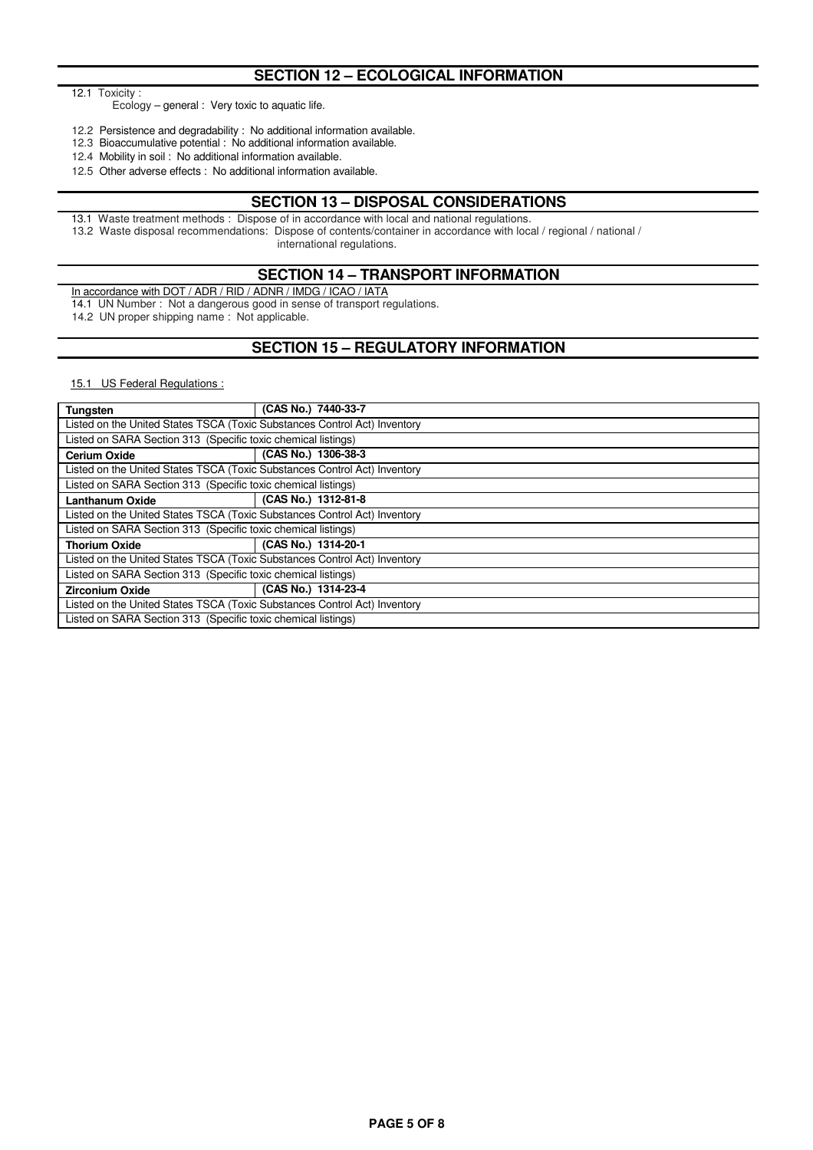## **SECTION 12 – ECOLOGICAL INFORMATION**

12.1 Toxicity :

Ecology – general : Very toxic to aquatic life.

12.2 Persistence and degradability : No additional information available.

12.3 Bioaccumulative potential : No additional information available.

12.4 Mobility in soil : No additional information available.

12.5 Other adverse effects : No additional information available.

#### **SECTION 13 – DISPOSAL CONSIDERATIONS**

13.1 Waste treatment methods : Dispose of in accordance with local and national regulations.

13.2 Waste disposal recommendations: Dispose of contents/container in accordance with local / regional / national /

international regulations.

#### **SECTION 14 – TRANSPORT INFORMATION**

In accordance with DOT / ADR / RID / ADNR / IMDG / ICAO / IATA

14.1 UN Number : Not a dangerous good in sense of transport regulations.

14.2 UN proper shipping name : Not applicable.

## **SECTION 15 – REGULATORY INFORMATION**

15.1 US Federal Regulations :

| <b>Tungsten</b>                                                           | (CAS No.) 7440-33-7                                                       |  |  |  |  |
|---------------------------------------------------------------------------|---------------------------------------------------------------------------|--|--|--|--|
| Listed on the United States TSCA (Toxic Substances Control Act) Inventory |                                                                           |  |  |  |  |
| Listed on SARA Section 313 (Specific toxic chemical listings)             |                                                                           |  |  |  |  |
| <b>Cerium Oxide</b>                                                       | (CAS No.) 1306-38-3                                                       |  |  |  |  |
|                                                                           | Listed on the United States TSCA (Toxic Substances Control Act) Inventory |  |  |  |  |
| Listed on SARA Section 313 (Specific toxic chemical listings)             |                                                                           |  |  |  |  |
| <b>Lanthanum Oxide</b>                                                    | (CAS No.) 1312-81-8                                                       |  |  |  |  |
| Listed on the United States TSCA (Toxic Substances Control Act) Inventory |                                                                           |  |  |  |  |
| Listed on SARA Section 313 (Specific toxic chemical listings)             |                                                                           |  |  |  |  |
| <b>Thorium Oxide</b>                                                      | (CAS No.) 1314-20-1                                                       |  |  |  |  |
| Listed on the United States TSCA (Toxic Substances Control Act) Inventory |                                                                           |  |  |  |  |
| Listed on SARA Section 313 (Specific toxic chemical listings)             |                                                                           |  |  |  |  |
| <b>Zirconium Oxide</b>                                                    | (CAS No.) 1314-23-4                                                       |  |  |  |  |
| Listed on the United States TSCA (Toxic Substances Control Act) Inventory |                                                                           |  |  |  |  |
| Listed on SARA Section 313 (Specific toxic chemical listings)             |                                                                           |  |  |  |  |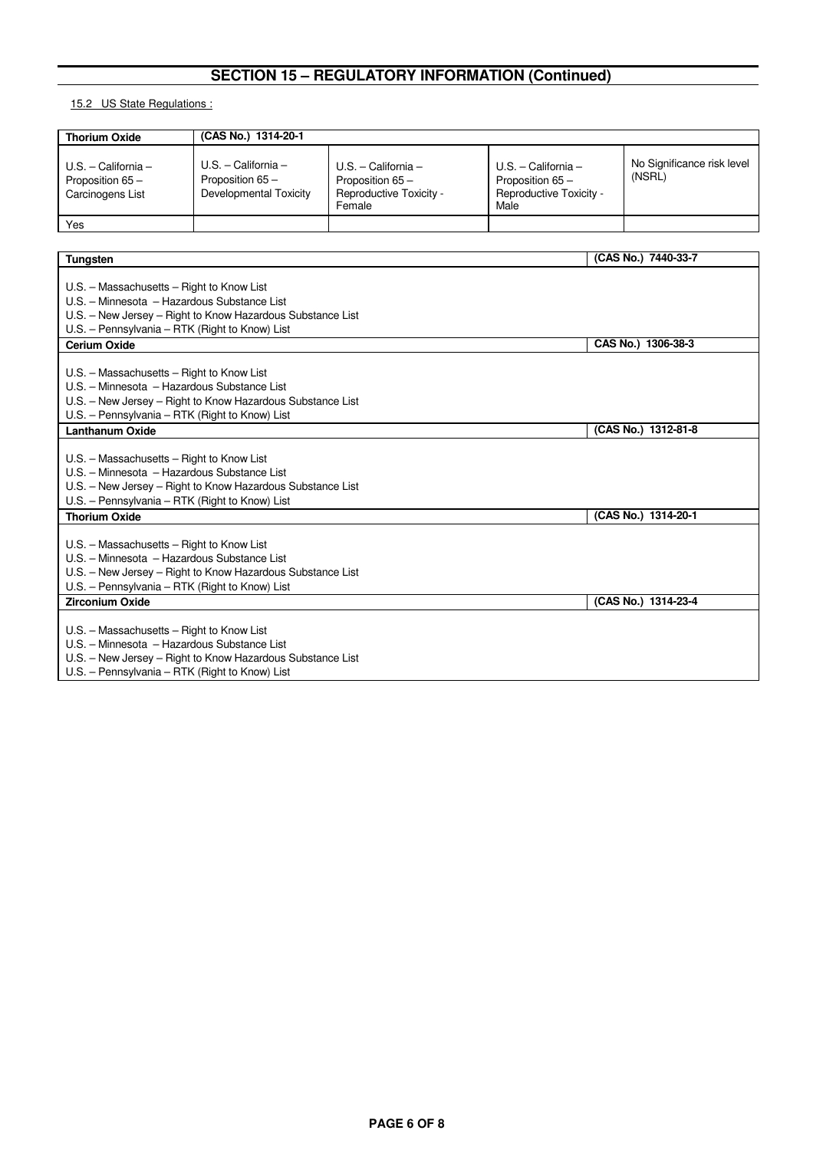# **SECTION 15 – REGULATORY INFORMATION (Continued)**

15.2 US State Regulations :

| <b>Thorium Oxide</b>                                                                                                                       | (CAS No.) 1314-20-1                                                 |                                                                               |                                                                              |                    |                                      |
|--------------------------------------------------------------------------------------------------------------------------------------------|---------------------------------------------------------------------|-------------------------------------------------------------------------------|------------------------------------------------------------------------------|--------------------|--------------------------------------|
| $U.S. - California -$<br>Proposition 65-<br>Carcinogens List                                                                               | $U.S. - California -$<br>Proposition 65 -<br>Developmental Toxicity | $U.S. - California -$<br>Proposition 65-<br>Reproductive Toxicity -<br>Female | $U.S. - California -$<br>Proposition 65 -<br>Reproductive Toxicity -<br>Male |                    | No Significance risk level<br>(NSRL) |
| Yes                                                                                                                                        |                                                                     |                                                                               |                                                                              |                    |                                      |
|                                                                                                                                            |                                                                     |                                                                               |                                                                              |                    |                                      |
| <b>Tungsten</b>                                                                                                                            |                                                                     |                                                                               |                                                                              |                    | (CAS No.) 7440-33-7                  |
| U.S. - Massachusetts - Right to Know List<br>U.S. - Minnesota - Hazardous Substance List<br>U.S. - Pennsylvania - RTK (Right to Know) List | U.S. - New Jersey - Right to Know Hazardous Substance List          |                                                                               |                                                                              |                    |                                      |
| <b>Cerium Oxide</b>                                                                                                                        |                                                                     |                                                                               |                                                                              | CAS No.) 1306-38-3 |                                      |
| U.S. - Massachusetts - Right to Know List<br>U.S. - Minnesota - Hazardous Substance List<br>U.S. - Pennsylvania - RTK (Right to Know) List | U.S. - New Jersey - Right to Know Hazardous Substance List          |                                                                               |                                                                              |                    |                                      |
| (CAS No.) 1312-81-8<br><b>Lanthanum Oxide</b>                                                                                              |                                                                     |                                                                               |                                                                              |                    |                                      |
| U.S. - Massachusetts - Right to Know List<br>U.S. - Minnesota - Hazardous Substance List<br>U.S. - Pennsylvania - RTK (Right to Know) List | U.S. - New Jersey - Right to Know Hazardous Substance List          |                                                                               |                                                                              |                    |                                      |
| <b>Thorium Oxide</b>                                                                                                                       |                                                                     |                                                                               |                                                                              |                    | (CAS No.) 1314-20-1                  |
| U.S. - Massachusetts - Right to Know List<br>U.S. - Minnesota - Hazardous Substance List<br>U.S. - Pennsylvania - RTK (Right to Know) List | U.S. - New Jersey - Right to Know Hazardous Substance List          |                                                                               |                                                                              |                    |                                      |
| <b>Zirconium Oxide</b><br>(CAS No.) 1314-23-4                                                                                              |                                                                     |                                                                               |                                                                              |                    |                                      |
| U.S. - Massachusetts - Right to Know List<br>U.S. - Minnesota - Hazardous Substance List                                                   | U.S. - New Jersey - Right to Know Hazardous Substance List          |                                                                               |                                                                              |                    |                                      |

U.S. – Pennsylvania – RTK (Right to Know) List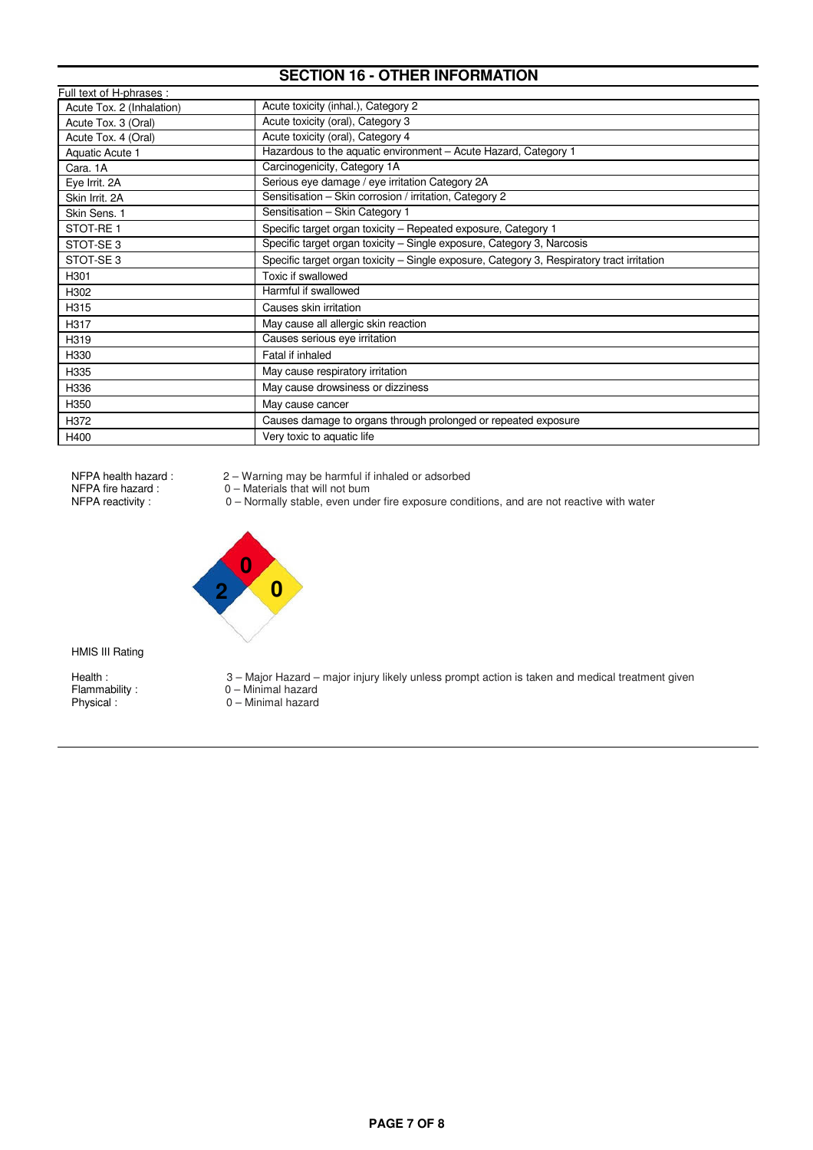# **SECTION 16 - OTHER INFORMATION**

| Full text of H-phrases :  |                                                                                            |
|---------------------------|--------------------------------------------------------------------------------------------|
| Acute Tox. 2 (Inhalation) | Acute toxicity (inhal.), Category 2                                                        |
| Acute Tox. 3 (Oral)       | Acute toxicity (oral), Category 3                                                          |
| Acute Tox. 4 (Oral)       | Acute toxicity (oral), Category 4                                                          |
| Aquatic Acute 1           | Hazardous to the aquatic environment - Acute Hazard, Category 1                            |
| Cara. 1A                  | Carcinogenicity, Category 1A                                                               |
| Eye Irrit. 2A             | Serious eye damage / eye irritation Category 2A                                            |
| Skin Irrit, 2A            | Sensitisation - Skin corrosion / irritation, Category 2                                    |
| Skin Sens. 1              | Sensitisation - Skin Category 1                                                            |
| STOT-RE1                  | Specific target organ toxicity - Repeated exposure, Category 1                             |
| STOT-SE <sub>3</sub>      | Specific target organ toxicity - Single exposure, Category 3, Narcosis                     |
| STOT-SE <sub>3</sub>      | Specific target organ toxicity - Single exposure, Category 3, Respiratory tract irritation |
| H301                      | Toxic if swallowed                                                                         |
| H302                      | Harmful if swallowed                                                                       |
| H315                      | Causes skin irritation                                                                     |
| H317                      | May cause all allergic skin reaction                                                       |
| H319                      | Causes serious eye irritation                                                              |
| H330                      | Fatal if inhaled                                                                           |
| H335                      | May cause respiratory irritation                                                           |
| H336                      | May cause drowsiness or dizziness                                                          |
| H350                      | May cause cancer                                                                           |
| H372                      | Causes damage to organs through prolonged or repeated exposure                             |
| H400                      | Very toxic to aquatic life                                                                 |

- NFPA health hazard : 2 Warning may be harmful if inhaled or adsorbed
- NFPA fire hazard : 0 Materials that will not bum
- NFPA reactivity : 0 Normally stable, even under fire exposure conditions, and are not reactive with water



HMIS III Rating

Physical : 0 – Minimal hazard

- Health : 3 Major Hazard major injury likely unless prompt action is taken and medical treatment given
- Flammability : 0 Minimal hazard
	-